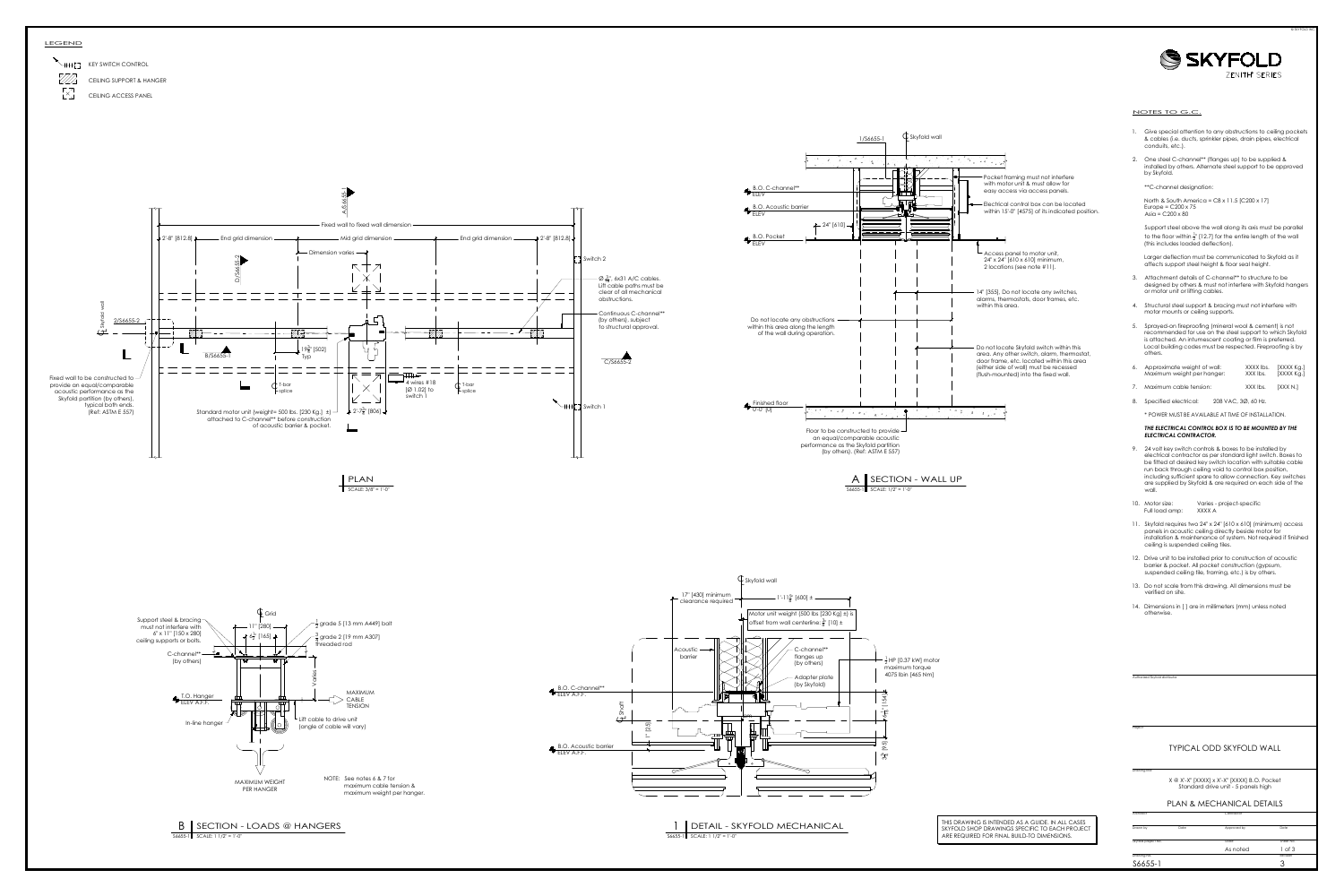North & South America =  $C8 \times 11.5$  [C200  $\times 17$ ] Europe =  $C200 \times 75$ Asia = C200 x 80

- 3. Attachment details of C-channel\*\* to structure to be designed by others & must not interfere with Skyfold hangers or motor unit or lifting cables.
- 4. Structural steel support & bracing must not interfere with motor mounts or ceiling supports.
- 5. Sprayed-on fireproofing (mineral wool & cement) is not recommended for use on the steel support to which Skyfold is attached. An intumescent coating or film is preferred. Local building codes must be respected. Fireproofing is by others.
- 6. Approximate weight of wall: XXXX lbs. [XXXX Kg.] Maximum weight per hanger: XXX lbs. [XXXX Kg.] 7. Maximum cable tension: XXX lbs. [XXX N.]
- 8. Specified electrical: 208 VAC, 30, 60 Hz.

### NOTES TO G.C.

© SKYFOLD INC.

Authorized Skyfold distributor

Project

## PLAN & MECHANICAL DETAILS

Drawing No. Revision Skyfold project No. Skyfold project No. Drawn by Date **Date** Approved by Contractor Date As noted 1 of 3 S6655-1 3

Drawing title

# TYPICAL ODD SKYFOLD WALL

X @ X'-X" [XXXX] x X'-X" [XXXX] B.O. Pocket Standard drive unit - 5 panels high

- 1. Give special attention to any obstructions to ceiling pockets & cables (i.e. ducts, sprinkler pipes, drain pipes, electrical conduits, etc.).
- 2. One steel C-channel\*\* (flanges up) to be supplied & installed by others. Alternate steel support to be approved by Skyfold.

\*\*C-channel designation:

Support steel above the wall along its axis must be parallel to the floor within  $\frac{1}{2}$ " [12.7] for the entire length of the wall (this includes loaded deflection).

Larger deflection must be communicated to Skyfold as it affects support steel height & floor seal height.





\* POWER MUST BE AVAILABLE AT TIME OF INSTALLATION.

### *THE ELECTRICAL CONTROL BOX IS TO BE MOUNTED BY THE ELECTRICAL CONTRACTOR.*

- 9. 24 volt key switch controls & boxes to be installed by electrical contractor as per standard light switch. Boxes to be fitted at desired key switch location with suitable cable run back through ceiling void to control box position, including sufficient spare to allow connection. Key switches are supplied by Skyfold & are required on each side of the wall.
- 10. Motor size: Varies project-specific Full load amp: XXXX A
- 11. Skyfold requires two 24" x 24" [610 x 610] (minimum) access panels in acoustic ceiling directly beside motor for installation & maintenance of system. Not required if finished ceiling is suspended ceiling tiles.
- 12. Drive unit to be installed prior to construction of acoustic barrier & pocket. All pocket construction (gypsum, suspended ceiling tile, framing, etc.) is by others.
- 13. Do not scale from this drawing. All dimensions must be verified on site.
- 14. Dimensions in [ ] are in millimeters (mm) unless noted otherwise.

THIS DRAWING IS INTENDED AS A GUIDE. IN ALL CASES SKYFOLD SHOP DRAWINGS SPECIFIC TO EACH PROJECT